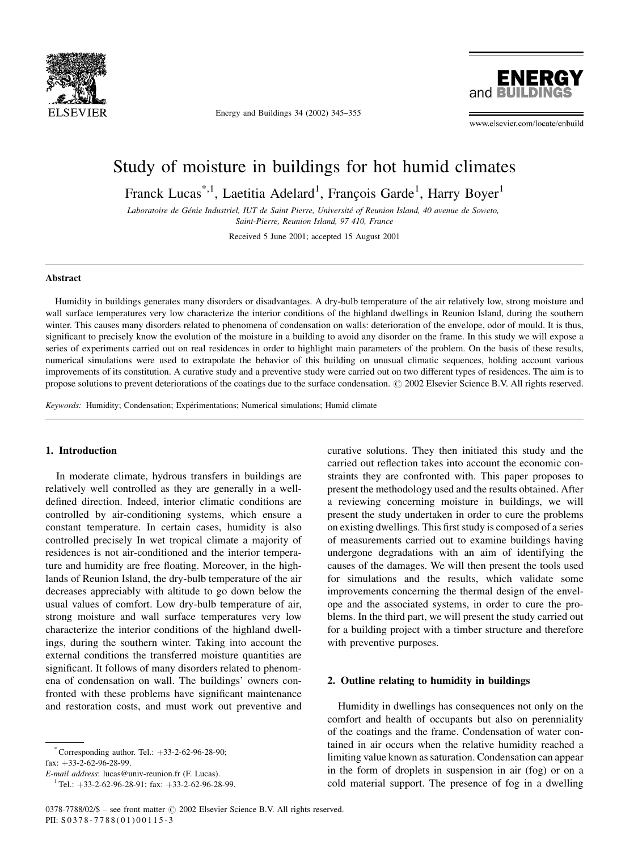

Energy and Buildings 34 (2002) 345–355



www.elsevier.com/locate/enbuild

## Study of moisture in buildings for hot humid climates

Franck Lucas<sup>\*,1</sup>, Laetitia Adelard<sup>1</sup>, François Garde<sup>1</sup>, Harry Boyer<sup>1</sup>

Laboratoire de Génie Industriel, IUT de Saint Pierre, Université of Reunion Island, 40 avenue de Soweto, Saint-Pierre, Reunion Island, 97 410, France

Received 5 June 2001; accepted 15 August 2001

#### Abstract

Humidity in buildings generates many disorders or disadvantages. A dry-bulb temperature of the air relatively low, strong moisture and wall surface temperatures very low characterize the interior conditions of the highland dwellings in Reunion Island, during the southern winter. This causes many disorders related to phenomena of condensation on walls: deterioration of the envelope, odor of mould. It is thus, significant to precisely know the evolution of the moisture in a building to avoid any disorder on the frame. In this study we will expose a series of experiments carried out on real residences in order to highlight main parameters of the problem. On the basis of these results, numerical simulations were used to extrapolate the behavior of this building on unusual climatic sequences, holding account various improvements of its constitution. A curative study and a preventive study were carried out on two different types of residences. The aim is to propose solutions to prevent deteriorations of the coatings due to the surface condensation.  $\odot$  2002 Elsevier Science B.V. All rights reserved.

Keywords: Humidity; Condensation; Expérimentations; Numerical simulations; Humid climate

### 1. Introduction

In moderate climate, hydrous transfers in buildings are relatively well controlled as they are generally in a welldefined direction. Indeed, interior climatic conditions are controlled by air-conditioning systems, which ensure a constant temperature. In certain cases, humidity is also controlled precisely In wet tropical climate a majority of residences is not air-conditioned and the interior temperature and humidity are free floating. Moreover, in the highlands of Reunion Island, the dry-bulb temperature of the air decreases appreciably with altitude to go down below the usual values of comfort. Low dry-bulb temperature of air, strong moisture and wall surface temperatures very low characterize the interior conditions of the highland dwellings, during the southern winter. Taking into account the external conditions the transferred moisture quantities are significant. It follows of many disorders related to phenomena of condensation on wall. The buildings' owners confronted with these problems have significant maintenance and restoration costs, and must work out preventive and

 $^{\circ}$  Corresponding author. Tel.:  $+33-2-62-96-28-90$ ;  $fax: +33-2-62-96-28-99.$ 

E-mail address: lucas@univ-reunion.fr (F. Lucas). <sup>1</sup> Tel.: <sup>þ</sup>33-2-62-96-28-91; fax: <sup>þ</sup>33-2-62-96-28-99.

curative solutions. They then initiated this study and the carried out reflection takes into account the economic constraints they are confronted with. This paper proposes to present the methodology used and the results obtained. After a reviewing concerning moisture in buildings, we will present the study undertaken in order to cure the problems on existing dwellings. This first study is composed of a series of measurements carried out to examine buildings having undergone degradations with an aim of identifying the causes of the damages. We will then present the tools used for simulations and the results, which validate some improvements concerning the thermal design of the envelope and the associated systems, in order to cure the problems. In the third part, we will present the study carried out for a building project with a timber structure and therefore with preventive purposes.

#### 2. Outline relating to humidity in buildings

Humidity in dwellings has consequences not only on the comfort and health of occupants but also on perenniality of the coatings and the frame. Condensation of water contained in air occurs when the relative humidity reached a limiting value known as saturation. Condensation can appear in the form of droplets in suspension in air (fog) or on a cold material support. The presence of fog in a dwelling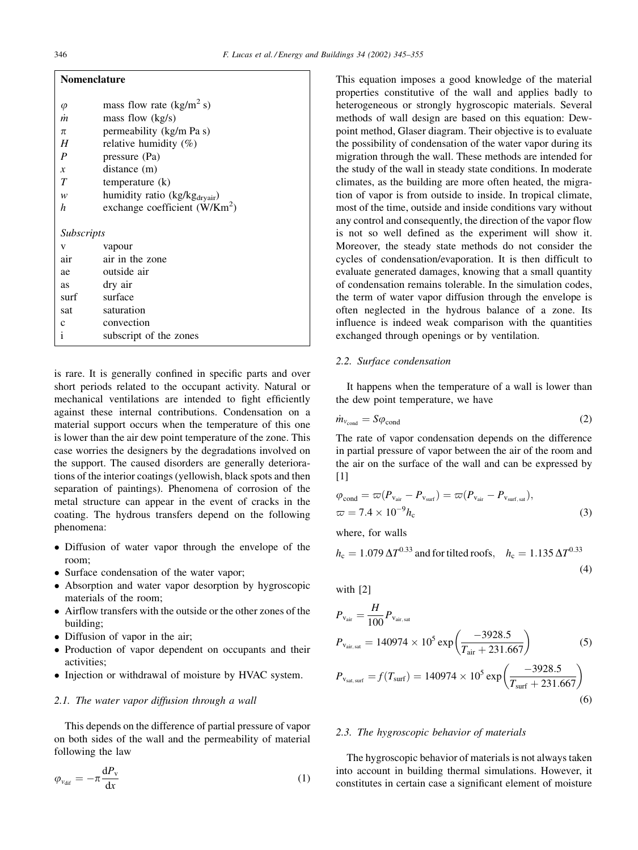|               | Nomenclature                                               |
|---------------|------------------------------------------------------------|
| $\varnothing$ | mass flow rate $(kg/m^2 s)$<br>mass flow $(k\sigma/\seta)$ |

| m                 | mass flow $(kg/s)$                        |
|-------------------|-------------------------------------------|
| π                 | permeability (kg/m Pa s)                  |
| H                 | relative humidity $(\%)$                  |
| P                 | pressure (Pa)                             |
| $\mathcal{X}$     | distance (m)                              |
| $\overline{T}$    | temperature (k)                           |
| w                 | humidity ratio (kg/kg <sub>dryair</sub> ) |
| h                 | exchange coefficient $(W/Km^2)$           |
|                   |                                           |
| <i>Subscripts</i> |                                           |
|                   |                                           |
| V                 | vapour                                    |
| air               | air in the zone                           |
| ae                | outside air                               |
| as                | dry air                                   |
| surf              | surface                                   |
| sat               | saturation                                |
| $\mathbf{C}$      | convection                                |
| i                 | subscript of the zones                    |

is rare. It is generally confined in specific parts and over short periods related to the occupant activity. Natural or mechanical ventilations are intended to fight efficiently against these internal contributions. Condensation on a material support occurs when the temperature of this one is lower than the air dew point temperature of the zone. This case worries the designers by the degradations involved on the support. The caused disorders are generally deteriorations of the interior coatings (yellowish, black spots and then separation of paintings). Phenomena of corrosion of the metal structure can appear in the event of cracks in the coating. The hydrous transfers depend on the following phenomena:

- Diffusion of water vapor through the envelope of the room;
- Surface condensation of the water vapor;
- Absorption and water vapor desorption by hygroscopic materials of the room;
- Airflow transfers with the outside or the other zones of the building;
- Diffusion of vapor in the air;
- Production of vapor dependent on occupants and their activities;
- Injection or withdrawal of moisture by HVAC system.

#### 2.1. The water vapor diffusion through a wall

This depends on the difference of partial pressure of vapor on both sides of the wall and the permeability of material following the law

$$
\varphi_{v_{\text{diff}}} = -\pi \frac{\mathrm{d}P_v}{\mathrm{d}x} \tag{1}
$$

This equation imposes a good knowledge of the material properties constitutive of the wall and applies badly to heterogeneous or strongly hygroscopic materials. Several methods of wall design are based on this equation: Dewpoint method, Glaser diagram. Their objective is to evaluate the possibility of condensation of the water vapor during its migration through the wall. These methods are intended for the study of the wall in steady state conditions. In moderate climates, as the building are more often heated, the migration of vapor is from outside to inside. In tropical climate, most of the time, outside and inside conditions vary without any control and consequently, the direction of the vapor flow is not so well defined as the experiment will show it. Moreover, the steady state methods do not consider the cycles of condensation/evaporation. It is then difficult to evaluate generated damages, knowing that a small quantity of condensation remains tolerable. In the simulation codes, the term of water vapor diffusion through the envelope is often neglected in the hydrous balance of a zone. Its influence is indeed weak comparison with the quantities exchanged through openings or by ventilation.

#### 2.2. Surface condensation

It happens when the temperature of a wall is lower than the dew point temperature, we have

$$
\dot{m}_{v_{\text{cond}}} = S\varphi_{\text{cond}} \tag{2}
$$

The rate of vapor condensation depends on the difference in partial pressure of vapor between the air of the room and the air on the surface of the wall and can be expressed by [1]

$$
\varphi_{\text{cond}} = \varpi (P_{v_{\text{air}}} - P_{v_{\text{surf}}}) = \varpi (P_{v_{\text{air}}} - P_{v_{\text{surf, sat}}}),
$$
  

$$
\varpi = 7.4 \times 10^{-9} h_{\text{c}}
$$
 (3)

where, for walls

 $h_c = 1.079 \Delta T^{0.33}$  and for tilted roofs,  $h_c = 1.135 \Delta T^{0.33}$ (4)

with 
$$
[2]
$$

$$
P_{\text{Var}} = \frac{H}{100} P_{\text{Var, sat}}
$$
  
\n
$$
P_{\text{Var, sat}} = 140974 \times 10^5 \exp\left(\frac{-3928.5}{T_{\text{air}} + 231.667}\right)
$$
 (5)  
\n
$$
P_{\text{Var, surf}} = f(T_{\text{surf}}) = 140974 \times 10^5 \exp\left(\frac{-3928.5}{T_{\text{surf}} + 231.667}\right)
$$

(6)

2.3. The hygroscopic behavior of materials

The hygroscopic behavior of materials is not always taken into account in building thermal simulations. However, it constitutes in certain case a significant element of moisture